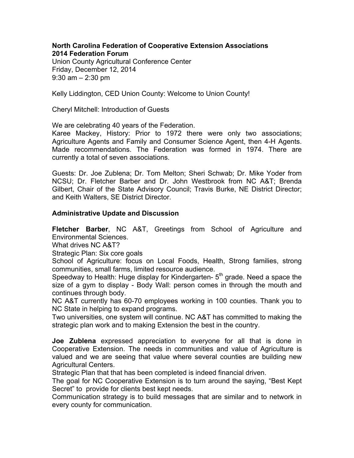#### **North Carolina Federation of Cooperative Extension Associations 2014 Federation Forum**

Union County Agricultural Conference Center Friday, December 12, 2014 9:30 am – 2:30 pm

Kelly Liddington, CED Union County: Welcome to Union County!

Cheryl Mitchell: Introduction of Guests

We are celebrating 40 years of the Federation.

Karee Mackey, History: Prior to 1972 there were only two associations; Agriculture Agents and Family and Consumer Science Agent, then 4-H Agents. Made recommendations. The Federation was formed in 1974. There are currently a total of seven associations.

Guests: Dr. Joe Zublena; Dr. Tom Melton; Sheri Schwab; Dr. Mike Yoder from NCSU; Dr. Fletcher Barber and Dr. John Westbrook from NC A&T; Brenda Gilbert, Chair of the State Advisory Council; Travis Burke, NE District Director; and Keith Walters, SE District Director.

## **Administrative Update and Discussion**

**Fletcher Barber**, NC A&T, Greetings from School of Agriculture and Environmental Sciences.

What drives NC A&T?

Strategic Plan: Six core goals

School of Agriculture: focus on Local Foods, Health, Strong families, strong communities, small farms, limited resource audience.

Speedway to Health: Huge display for Kindergarten- 5<sup>th</sup> grade. Need a space the size of a gym to display - Body Wall: person comes in through the mouth and continues through body.

NC A&T currently has 60-70 employees working in 100 counties. Thank you to NC State in helping to expand programs.

Two universities, one system will continue. NC A&T has committed to making the strategic plan work and to making Extension the best in the country.

**Joe Zublena** expressed appreciation to everyone for all that is done in Cooperative Extension. The needs in communities and value of Agriculture is valued and we are seeing that value where several counties are building new Agricultural Centers.

Strategic Plan that that has been completed is indeed financial driven.

The goal for NC Cooperative Extension is to turn around the saying, "Best Kept Secret" to provide for clients best kept needs.

Communication strategy is to build messages that are similar and to network in every county for communication.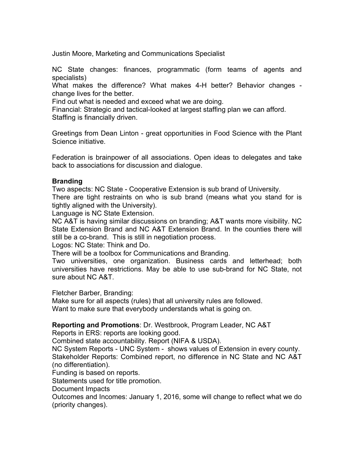Justin Moore, Marketing and Communications Specialist

NC State changes: finances, programmatic (form teams of agents and specialists)

What makes the difference? What makes 4-H better? Behavior changes change lives for the better.

Find out what is needed and exceed what we are doing.

Financial: Strategic and tactical-looked at largest staffing plan we can afford. Staffing is financially driven.

Greetings from Dean Linton - great opportunities in Food Science with the Plant Science initiative.

Federation is brainpower of all associations. Open ideas to delegates and take back to associations for discussion and dialogue.

# **Branding**

Two aspects: NC State - Cooperative Extension is sub brand of University. There are tight restraints on who is sub brand (means what you stand for is tightly aligned with the University).

Language is NC State Extension.

NC A&T is having similar discussions on branding; A&T wants more visibility. NC State Extension Brand and NC A&T Extension Brand. In the counties there will still be a co-brand. This is still in negotiation process.

Logos: NC State: Think and Do.

There will be a toolbox for Communications and Branding.

Two universities, one organization. Business cards and letterhead; both universities have restrictions. May be able to use sub-brand for NC State, not sure about NC A&T.

Fletcher Barber, Branding:

Make sure for all aspects (rules) that all university rules are followed. Want to make sure that everybody understands what is going on.

# **Reporting and Promotions**: Dr. Westbrook, Program Leader, NC A&T

Reports in ERS: reports are looking good.

Combined state accountability. Report (NIFA & USDA).

NC System Reports - UNC System - shows values of Extension in every county. Stakeholder Reports: Combined report, no difference in NC State and NC A&T (no differentiation).

Funding is based on reports.

Statements used for title promotion.

Document Impacts

Outcomes and Incomes: January 1, 2016, some will change to reflect what we do (priority changes).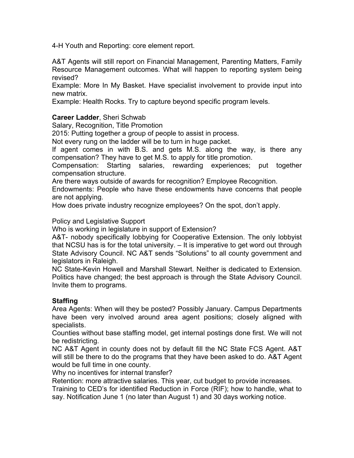4-H Youth and Reporting: core element report.

A&T Agents will still report on Financial Management, Parenting Matters, Family Resource Management outcomes. What will happen to reporting system being revised?

Example: More In My Basket. Have specialist involvement to provide input into new matrix.

Example: Health Rocks. Try to capture beyond specific program levels.

# **Career Ladder**, Sheri Schwab

Salary, Recognition, Title Promotion

2015: Putting together a group of people to assist in process.

Not every rung on the ladder will be to turn in huge packet.

If agent comes in with B.S. and gets M.S. along the way, is there any compensation? They have to get M.S. to apply for title promotion.

Compensation: Starting salaries, rewarding experiences; put together compensation structure.

Are there ways outside of awards for recognition? Employee Recognition.

Endowments: People who have these endowments have concerns that people are not applying.

How does private industry recognize employees? On the spot, don't apply.

Policy and Legislative Support

Who is working in legislature in support of Extension?

A&T- nobody specifically lobbying for Cooperative Extension. The only lobbyist that NCSU has is for the total university. – It is imperative to get word out through State Advisory Council. NC A&T sends "Solutions" to all county government and legislators in Raleigh.

NC State-Kevin Howell and Marshall Stewart. Neither is dedicated to Extension. Politics have changed; the best approach is through the State Advisory Council. Invite them to programs.

# **Staffing**

Area Agents: When will they be posted? Possibly January. Campus Departments have been very involved around area agent positions; closely aligned with specialists.

Counties without base staffing model, get internal postings done first. We will not be redistricting.

NC A&T Agent in county does not by default fill the NC State FCS Agent. A&T will still be there to do the programs that they have been asked to do. A&T Agent would be full time in one county.

Why no incentives for internal transfer?

Retention: more attractive salaries. This year, cut budget to provide increases. Training to CED's for identified Reduction in Force (RIF); how to handle, what to say. Notification June 1 (no later than August 1) and 30 days working notice.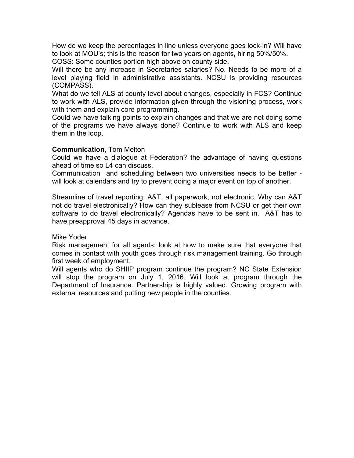How do we keep the percentages in line unless everyone goes lock-in? Will have to look at MOU's; this is the reason for two years on agents, hiring 50%/50%.

COSS: Some counties portion high above on county side.

Will there be any increase in Secretaries salaries? No. Needs to be more of a level playing field in administrative assistants. NCSU is providing resources (COMPASS).

What do we tell ALS at county level about changes, especially in FCS? Continue to work with ALS, provide information given through the visioning process, work with them and explain core programming.

Could we have talking points to explain changes and that we are not doing some of the programs we have always done? Continue to work with ALS and keep them in the loop.

## **Communication**, Tom Melton

Could we have a dialogue at Federation? the advantage of having questions ahead of time so L4 can discuss.

Communication and scheduling between two universities needs to be better will look at calendars and try to prevent doing a major event on top of another.

Streamline of travel reporting. A&T, all paperwork, not electronic. Why can A&T not do travel electronically? How can they sublease from NCSU or get their own software to do travel electronically? Agendas have to be sent in. A&T has to have preapproval 45 days in advance.

### Mike Yoder

Risk management for all agents; look at how to make sure that everyone that comes in contact with youth goes through risk management training. Go through first week of employment.

Will agents who do SHIIP program continue the program? NC State Extension will stop the program on July 1, 2016. Will look at program through the Department of Insurance. Partnership is highly valued. Growing program with external resources and putting new people in the counties.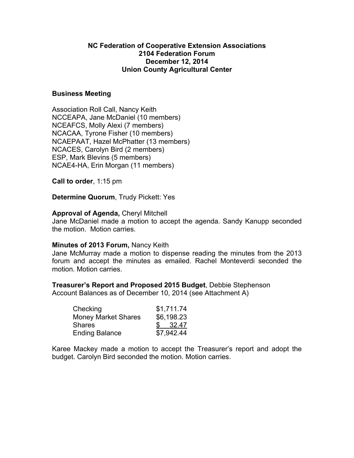## **NC Federation of Cooperative Extension Associations 2104 Federation Forum December 12, 2014 Union County Agricultural Center**

### **Business Meeting**

Association Roll Call, Nancy Keith NCCEAPA, Jane McDaniel (10 members) NCEAFCS, Molly Alexi (7 members) NCACAA, Tyrone Fisher (10 members) NCAEPAAT, Hazel McPhatter (13 members) NCACES, Carolyn Bird (2 members) ESP, Mark Blevins (5 members) NCAE4-HA, Erin Morgan (11 members)

**Call to order**, 1:15 pm

**Determine Quorum**, Trudy Pickett: Yes

## **Approval of Agenda,** Cheryl Mitchell

Jane McDaniel made a motion to accept the agenda. Sandy Kanupp seconded the motion. Motion carries.

### **Minutes of 2013 Forum,** Nancy Keith

Jane McMurray made a motion to dispense reading the minutes from the 2013 forum and accept the minutes as emailed. Rachel Monteverdi seconded the motion. Motion carries.

### **Treasurer's Report and Proposed 2015 Budget**, Debbie Stephenson

Account Balances as of December 10, 2014 (see Attachment A)

| Checking                   | \$1,711.74 |
|----------------------------|------------|
| <b>Money Market Shares</b> | \$6,198.23 |
| Shares                     | \$32.47    |
| <b>Ending Balance</b>      | \$7,942.44 |

Karee Mackey made a motion to accept the Treasurer's report and adopt the budget. Carolyn Bird seconded the motion. Motion carries.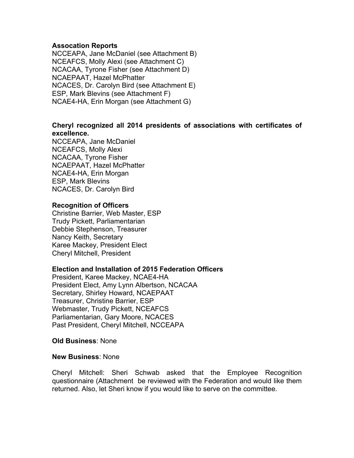### **Assocation Reports**

NCCEAPA, Jane McDaniel (see Attachment B) NCEAFCS, Molly Alexi (see Attachment C) NCACAA, Tyrone Fisher (see Attachment D) NCAEPAAT, Hazel McPhatter NCACES, Dr. Carolyn Bird (see Attachment E) ESP, Mark Blevins (see Attachment F) NCAE4-HA, Erin Morgan (see Attachment G)

# **Cheryl recognized all 2014 presidents of associations with certificates of excellence.**

NCCEAPA, Jane McDaniel NCEAFCS, Molly Alexi NCACAA, Tyrone Fisher NCAEPAAT, Hazel McPhatter NCAE4-HA, Erin Morgan ESP, Mark Blevins NCACES, Dr. Carolyn Bird

#### **Recognition of Officers**

Christine Barrier, Web Master, ESP Trudy Pickett, Parliamentarian Debbie Stephenson, Treasurer Nancy Keith, Secretary Karee Mackey, President Elect Cheryl Mitchell, President

### **Election and Installation of 2015 Federation Officers**

President, Karee Mackey, NCAE4-HA President Elect, Amy Lynn Albertson, NCACAA Secretary, Shirley Howard, NCAEPAAT Treasurer, Christine Barrier, ESP Webmaster, Trudy Pickett, NCEAFCS Parliamentarian, Gary Moore, NCACES Past President, Cheryl Mitchell, NCCEAPA

### **Old Business**: None

#### **New Business**: None

Cheryl Mitchell: Sheri Schwab asked that the Employee Recognition questionnaire (Attachment be reviewed with the Federation and would like them returned. Also, let Sheri know if you would like to serve on the committee.